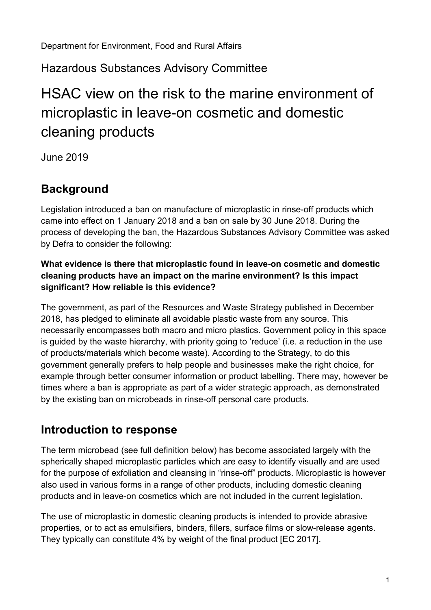Department for Environment, Food and Rural Affairs

Hazardous Substances Advisory Committee

# HSAC view on the risk to the marine environment of microplastic in leave-on cosmetic and domestic cleaning products

June 2019

# **Background**

Legislation introduced a ban on manufacture of microplastic in rinse-off products which came into effect on 1 January 2018 and a ban on sale by 30 June 2018. During the process of developing the ban, the Hazardous Substances Advisory Committee was asked by Defra to consider the following:

#### **What evidence is there that microplastic found in leave-on cosmetic and domestic cleaning products have an impact on the marine environment? Is this impact significant? How reliable is this evidence?**

The government, as part of the Resources and Waste Strategy published in December 2018, has pledged to eliminate all avoidable plastic waste from any source. This necessarily encompasses both macro and micro plastics. Government policy in this space is guided by the waste hierarchy, with priority going to 'reduce' (i.e. a reduction in the use of products/materials which become waste). According to the Strategy, to do this government generally prefers to help people and businesses make the right choice, for example through better consumer information or product labelling. There may, however be times where a ban is appropriate as part of a wider strategic approach, as demonstrated by the existing ban on microbeads in rinse-off personal care products.

## **Introduction to response**

The term microbead (see full definition below) has become associated largely with the spherically shaped microplastic particles which are easy to identify visually and are used for the purpose of exfoliation and cleansing in "rinse-off" products. Microplastic is however also used in various forms in a range of other products, including domestic cleaning products and in leave-on cosmetics which are not included in the current legislation.

The use of microplastic in domestic cleaning products is intended to provide abrasive properties, or to act as emulsifiers, binders, fillers, surface films or slow-release agents. They typically can constitute 4% by weight of the final product [EC 2017].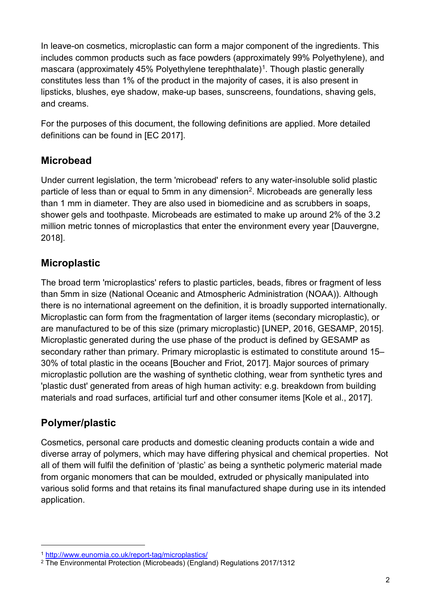In leave-on cosmetics, microplastic can form a major component of the ingredients. This includes common products such as face powders (approximately 99% Polyethylene), and mascara (approximately 45% Polyethylene terephthalate)<sup>1</sup>. Though plastic generally constitutes less than 1% of the product in the majority of cases, it is also present in lipsticks, blushes, eye shadow, make-up bases, sunscreens, foundations, shaving gels, and creams.

For the purposes of this document, the following definitions are applied. More detailed definitions can be found in [EC 2017].

#### **Microbead**

Under current legislation, the term 'microbead' refers to any water-insoluble solid plastic particle of less than or equal to 5mm in any dimension<sup>[2](#page-1-1)</sup>. Microbeads are generally less than 1 mm in diameter. They are also used in biomedicine and as scrubbers in soaps, shower gels and toothpaste. Microbeads are estimated to make up around 2% of the 3.2 million metric tonnes of microplastics that enter the environment every year [Dauvergne, 2018].

## **Microplastic**

The broad term 'microplastics' refers to plastic particles, beads, fibres or fragment of less than 5mm in size (National Oceanic and Atmospheric Administration (NOAA)). Although there is no international agreement on the definition, it is broadly supported internationally. Microplastic can form from the fragmentation of larger items (secondary microplastic), or are manufactured to be of this size (primary microplastic) [UNEP, 2016, GESAMP, 2015]. Microplastic generated during the use phase of the product is defined by GESAMP as secondary rather than primary. Primary microplastic is estimated to constitute around 15– 30% of total plastic in the oceans [Boucher and Friot, 2017]. Major sources of primary microplastic pollution are the washing of synthetic clothing, wear from synthetic tyres and 'plastic dust' generated from areas of high human activity: e.g. breakdown from building materials and road surfaces, artificial turf and other consumer items [Kole et al., 2017].

## **Polymer/plastic**

-

Cosmetics, personal care products and domestic cleaning products contain a wide and diverse array of polymers, which may have differing physical and chemical properties. Not all of them will fulfil the definition of 'plastic' as being a synthetic polymeric material made from organic monomers that can be moulded, extruded or physically manipulated into various solid forms and that retains its final manufactured shape during use in its intended application.

<span id="page-1-0"></span><sup>1</sup> <http://www.eunomia.co.uk/report-tag/microplastics/>

<span id="page-1-1"></span><sup>2</sup> The Environmental Protection (Microbeads) (England) Regulations 2017/1312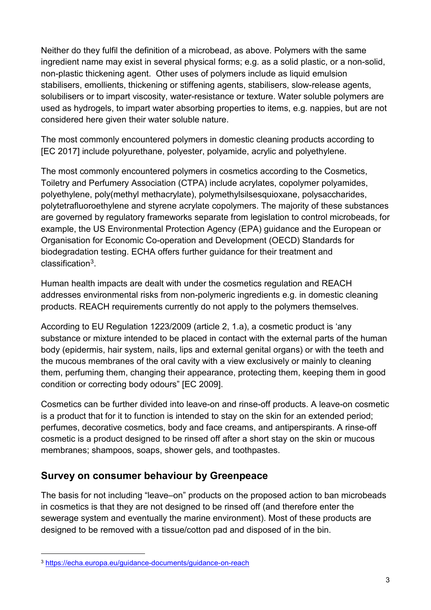Neither do they fulfil the definition of a microbead, as above. Polymers with the same ingredient name may exist in several physical forms; e.g. as a solid plastic, or a non-solid, non-plastic thickening agent. Other uses of polymers include as liquid emulsion stabilisers, emollients, thickening or stiffening agents, stabilisers, slow-release agents, solubilisers or to impart viscosity, water-resistance or texture. Water soluble polymers are used as hydrogels, to impart water absorbing properties to items, e.g. nappies, but are not considered here given their water soluble nature.

The most commonly encountered polymers in domestic cleaning products according to [EC 2017] include polyurethane, polyester, polyamide, acrylic and polyethylene.

The most commonly encountered polymers in cosmetics according to the Cosmetics, Toiletry and Perfumery Association (CTPA) include acrylates, copolymer polyamides, polyethylene, poly(methyl methacrylate), polymethylsilsesquioxane, polysaccharides, polytetrafluoroethylene and styrene acrylate copolymers. The majority of these substances are governed by regulatory frameworks separate from legislation to control microbeads, for example, the US Environmental Protection Agency (EPA) guidance and the European or Organisation for Economic Co-operation and Development (OECD) Standards for biodegradation testing. ECHA offers further guidance for their treatment and classification[3.](#page-2-0)

Human health impacts are dealt with under the cosmetics regulation and REACH addresses environmental risks from non-polymeric ingredients e.g. in domestic cleaning products. REACH requirements currently do not apply to the polymers themselves.

According to EU Regulation 1223/2009 (article 2, 1.a), a cosmetic product is 'any substance or mixture intended to be placed in contact with the external parts of the human body (epidermis, hair system, nails, lips and external genital organs) or with the teeth and the mucous membranes of the oral cavity with a view exclusively or mainly to cleaning them, perfuming them, changing their appearance, protecting them, keeping them in good condition or correcting body odours" [EC 2009].

Cosmetics can be further divided into leave-on and rinse-off products. A leave-on cosmetic is a product that for it to function is intended to stay on the skin for an extended period; perfumes, decorative cosmetics, body and face creams, and antiperspirants. A rinse-off cosmetic is a product designed to be rinsed off after a short stay on the skin or mucous membranes; shampoos, soaps, shower gels, and toothpastes.

#### **Survey on consumer behaviour by Greenpeace**

The basis for not including "leave–on" products on the proposed action to ban microbeads in cosmetics is that they are not designed to be rinsed off (and therefore enter the sewerage system and eventually the marine environment). Most of these products are designed to be removed with a tissue/cotton pad and disposed of in the bin.

-

<span id="page-2-0"></span><sup>3</sup> <https://echa.europa.eu/guidance-documents/guidance-on-reach>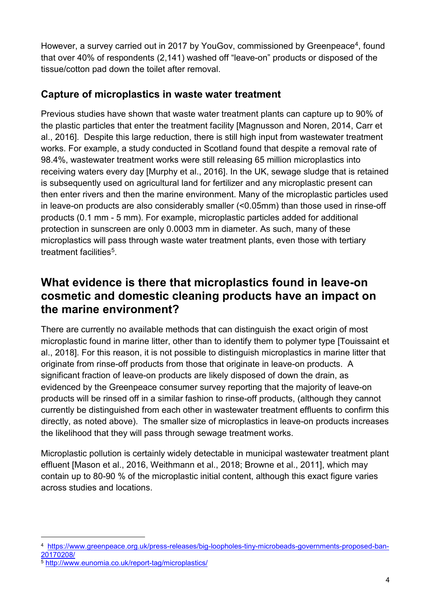However, a survey carried out in 2017 by YouGov, commissioned by Greenpeace<sup>[4](#page-3-0)</sup>, found that over 40% of respondents (2,141) washed off "leave-on" products or disposed of the tissue/cotton pad down the toilet after removal.

#### **Capture of microplastics in waste water treatment**

Previous studies have shown that waste water treatment plants can capture up to 90% of the plastic particles that enter the treatment facility [Magnusson and Noren, 2014, Carr et al., 2016]. Despite this large reduction, there is still high input from wastewater treatment works. For example, a study conducted in Scotland found that despite a removal rate of 98.4%, wastewater treatment works were still releasing 65 million microplastics into receiving waters every day [Murphy et al., 2016]. In the UK, sewage sludge that is retained is subsequently used on agricultural land for fertilizer and any microplastic present can then enter rivers and then the marine environment. Many of the microplastic particles used in leave-on products are also considerably smaller (<0.05mm) than those used in rinse-off products (0.1 mm - 5 mm). For example, microplastic particles added for additional protection in sunscreen are only 0.0003 mm in diameter. As such, many of these microplastics will pass through waste water treatment plants, even those with tertiary treatment facilities<sup>[5](#page-3-1)</sup>.

## **What evidence is there that microplastics found in leave-on cosmetic and domestic cleaning products have an impact on the marine environment?**

There are currently no available methods that can distinguish the exact origin of most microplastic found in marine litter, other than to identify them to polymer type [Touissaint et al., 2018]. For this reason, it is not possible to distinguish microplastics in marine litter that originate from rinse-off products from those that originate in leave-on products. A significant fraction of leave-on products are likely disposed of down the drain, as evidenced by the Greenpeace consumer survey reporting that the majority of leave-on products will be rinsed off in a similar fashion to rinse-off products, (although they cannot currently be distinguished from each other in wastewater treatment effluents to confirm this directly, as noted above). The smaller size of microplastics in leave-on products increases the likelihood that they will pass through sewage treatment works.

Microplastic pollution is certainly widely detectable in municipal wastewater treatment plant effluent [Mason et al., 2016, Weithmann et al., 2018; Browne et al., 2011], which may contain up to 80-90 % of the microplastic initial content, although this exact figure varies across studies and locations.

<u>.</u>

<span id="page-3-0"></span><sup>4</sup> [https://www.greenpeace.org.uk/press-releases/big-loopholes-tiny-microbeads-governments-proposed-ban-](https://www.greenpeace.org.uk/press-releases/big-loopholes-tiny-microbeads-governments-proposed-ban-20170208/)[20170208/](https://www.greenpeace.org.uk/press-releases/big-loopholes-tiny-microbeads-governments-proposed-ban-20170208/)

<span id="page-3-1"></span><sup>5</sup> <http://www.eunomia.co.uk/report-tag/microplastics/>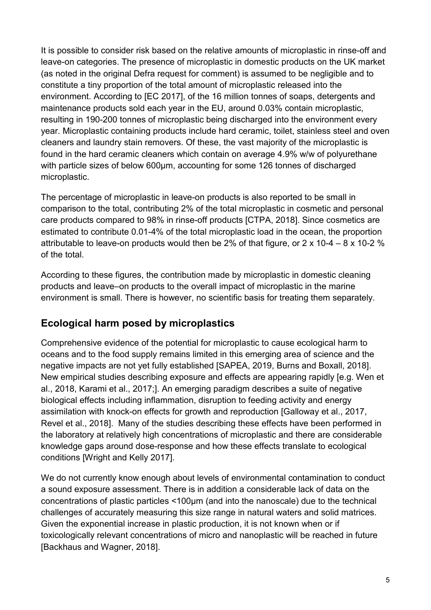It is possible to consider risk based on the relative amounts of microplastic in rinse-off and leave-on categories. The presence of microplastic in domestic products on the UK market (as noted in the original Defra request for comment) is assumed to be negligible and to constitute a tiny proportion of the total amount of microplastic released into the environment. According to [EC 2017], of the 16 million tonnes of soaps, detergents and maintenance products sold each year in the EU, around 0.03% contain microplastic, resulting in 190-200 tonnes of microplastic being discharged into the environment every year. Microplastic containing products include hard ceramic, toilet, stainless steel and oven cleaners and laundry stain removers. Of these, the vast majority of the microplastic is found in the hard ceramic cleaners which contain on average 4.9% w/w of polyurethane with particle sizes of below 600μm, accounting for some 126 tonnes of discharged microplastic.

The percentage of microplastic in leave-on products is also reported to be small in comparison to the total, contributing 2% of the total microplastic in cosmetic and personal care products compared to 98% in rinse-off products [CTPA, 2018]. Since cosmetics are estimated to contribute 0.01-4% of the total microplastic load in the ocean, the proportion attributable to leave-on products would then be 2% of that figure, or 2 x 10-4 – 8 x 10-2 % of the total.

According to these figures, the contribution made by microplastic in domestic cleaning products and leave–on products to the overall impact of microplastic in the marine environment is small. There is however, no scientific basis for treating them separately.

## **Ecological harm posed by microplastics**

Comprehensive evidence of the potential for microplastic to cause ecological harm to oceans and to the food supply remains limited in this emerging area of science and the negative impacts are not yet fully established [SAPEA, 2019, Burns and Boxall, 2018]. New empirical studies describing exposure and effects are appearing rapidly [e.g. Wen et al., 2018, Karami et al., 2017;]. An emerging paradigm describes a suite of negative biological effects including inflammation, disruption to feeding activity and energy assimilation with knock-on effects for growth and reproduction [Galloway et al., 2017, Revel et al., 2018]. Many of the studies describing these effects have been performed in the laboratory at relatively high concentrations of microplastic and there are considerable knowledge gaps around dose-response and how these effects translate to ecological conditions [Wright and Kelly 2017].

We do not currently know enough about levels of environmental contamination to conduct a sound exposure assessment. There is in addition a considerable lack of data on the concentrations of plastic particles <100μm (and into the nanoscale) due to the technical challenges of accurately measuring this size range in natural waters and solid matrices. Given the exponential increase in plastic production, it is not known when or if toxicologically relevant concentrations of micro and nanoplastic will be reached in future [Backhaus and Wagner, 2018].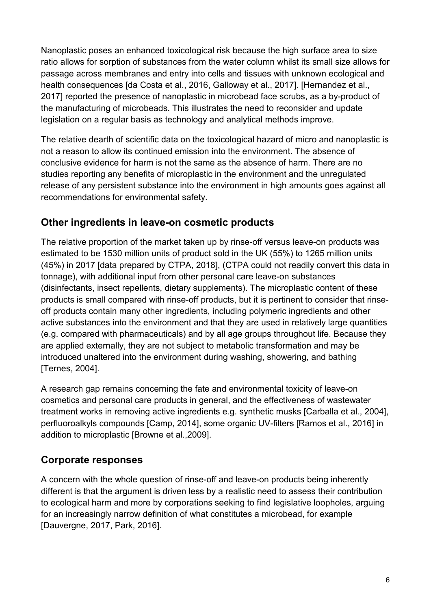Nanoplastic poses an enhanced toxicological risk because the high surface area to size ratio allows for sorption of substances from the water column whilst its small size allows for passage across membranes and entry into cells and tissues with unknown ecological and health consequences [da Costa et al., 2016, Galloway et al., 2017]. [Hernandez et al., 2017] reported the presence of nanoplastic in microbead face scrubs, as a by-product of the manufacturing of microbeads. This illustrates the need to reconsider and update legislation on a regular basis as technology and analytical methods improve.

The relative dearth of scientific data on the toxicological hazard of micro and nanoplastic is not a reason to allow its continued emission into the environment. The absence of conclusive evidence for harm is not the same as the absence of harm. There are no studies reporting any benefits of microplastic in the environment and the unregulated release of any persistent substance into the environment in high amounts goes against all recommendations for environmental safety.

#### **Other ingredients in leave-on cosmetic products**

The relative proportion of the market taken up by rinse-off versus leave-on products was estimated to be 1530 million units of product sold in the UK (55%) to 1265 million units (45%) in 2017 [data prepared by CTPA, 2018], (CTPA could not readily convert this data in tonnage), with additional input from other personal care leave-on substances (disinfectants, insect repellents, dietary supplements). The microplastic content of these products is small compared with rinse-off products, but it is pertinent to consider that rinseoff products contain many other ingredients, including polymeric ingredients and other active substances into the environment and that they are used in relatively large quantities (e.g. compared with pharmaceuticals) and by all age groups throughout life. Because they are applied externally, they are not subject to metabolic transformation and may be introduced unaltered into the environment during washing, showering, and bathing [Ternes, 2004].

A research gap remains concerning the fate and environmental toxicity of leave-on cosmetics and personal care products in general, and the effectiveness of wastewater treatment works in removing active ingredients e.g. synthetic musks [Carballa et al., 2004], perfluoroalkyls compounds [Camp, 2014], some organic UV-filters [Ramos et al., 2016] in addition to microplastic [Browne et al.,2009].

#### **Corporate responses**

A concern with the whole question of rinse-off and leave-on products being inherently different is that the argument is driven less by a realistic need to assess their contribution to ecological harm and more by corporations seeking to find legislative loopholes, arguing for an increasingly narrow definition of what constitutes a microbead, for example [Dauvergne, 2017, Park, 2016].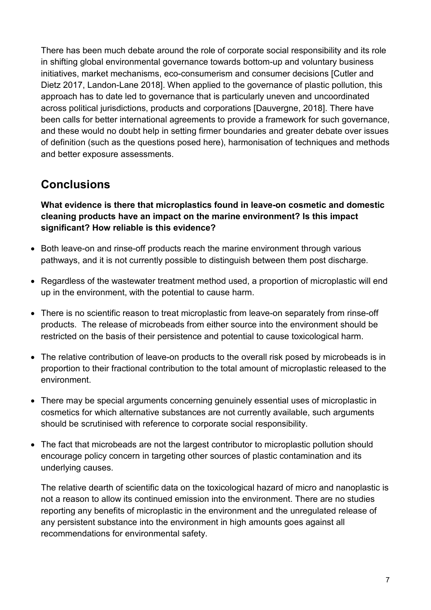There has been much debate around the role of corporate social responsibility and its role in shifting global environmental governance towards bottom-up and voluntary business initiatives, market mechanisms, eco-consumerism and consumer decisions [Cutler and Dietz 2017, Landon-Lane 2018]. When applied to the governance of plastic pollution, this approach has to date led to governance that is particularly uneven and uncoordinated across political jurisdictions, products and corporations [Dauvergne, 2018]. There have been calls for better international agreements to provide a framework for such governance, and these would no doubt help in setting firmer boundaries and greater debate over issues of definition (such as the questions posed here), harmonisation of techniques and methods and better exposure assessments.

## **Conclusions**

**What evidence is there that microplastics found in leave-on cosmetic and domestic cleaning products have an impact on the marine environment? Is this impact significant? How reliable is this evidence?**

- Both leave-on and rinse-off products reach the marine environment through various pathways, and it is not currently possible to distinguish between them post discharge.
- Regardless of the wastewater treatment method used, a proportion of microplastic will end up in the environment, with the potential to cause harm.
- There is no scientific reason to treat microplastic from leave-on separately from rinse-off products. The release of microbeads from either source into the environment should be restricted on the basis of their persistence and potential to cause toxicological harm.
- The relative contribution of leave-on products to the overall risk posed by microbeads is in proportion to their fractional contribution to the total amount of microplastic released to the environment.
- There may be special arguments concerning genuinely essential uses of microplastic in cosmetics for which alternative substances are not currently available, such arguments should be scrutinised with reference to corporate social responsibility.
- The fact that microbeads are not the largest contributor to microplastic pollution should encourage policy concern in targeting other sources of plastic contamination and its underlying causes.

The relative dearth of scientific data on the toxicological hazard of micro and nanoplastic is not a reason to allow its continued emission into the environment. There are no studies reporting any benefits of microplastic in the environment and the unregulated release of any persistent substance into the environment in high amounts goes against all recommendations for environmental safety.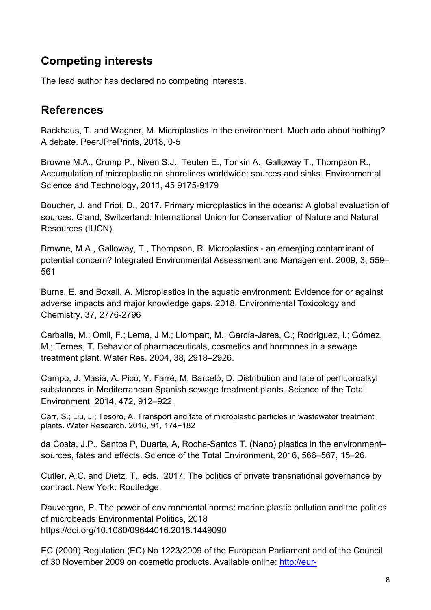## **Competing interests**

The lead author has declared no competing interests.

## **References**

Backhaus, T. and Wagner, M. Microplastics in the environment. Much ado about nothing? A debate. PeerJPrePrints, 2018, 0-5

Browne M.A., Crump P., Niven S.J., Teuten E., Tonkin A., Galloway T., Thompson R., Accumulation of microplastic on shorelines worldwide: sources and sinks. Environmental Science and Technology, 2011, 45 9175-9179

Boucher, J. and Friot, D., 2017. Primary microplastics in the oceans: A global evaluation of sources. Gland, Switzerland: International Union for Conservation of Nature and Natural Resources (IUCN).

Browne, M.A., Galloway, T., Thompson, R. Microplastics - an emerging contaminant of potential concern? Integrated Environmental Assessment and Management. 2009, 3, 559– 561

Burns, E. and Boxall, A. Microplastics in the aquatic environment: Evidence for or against adverse impacts and major knowledge gaps, 2018, Environmental Toxicology and Chemistry, 37, 2776-2796

Carballa, M.; Omil, F.; Lema, J.M.; Llompart, M.; García-Jares, C.; Rodríguez, I.; Gómez, M.; Ternes, T. Behavior of pharmaceuticals, cosmetics and hormones in a sewage treatment plant. Water Res. 2004, 38, 2918–2926.

Campo, J. Masiá, A. Picó, Y. Farré, M. Barceló, D. Distribution and fate of perfluoroalkyl substances in Mediterranean Spanish sewage treatment plants. Science of the Total Environment. 2014, 472, 912–922.

Carr, S.; Liu, J.; Tesoro, A. Transport and fate of microplastic particles in wastewater treatment plants. Water Research. 2016, 91, 174−182

da Costa, J.P., Santos P, Duarte, A, Rocha-Santos T. (Nano) plastics in the environment– sources, fates and effects. Science of the Total Environment, 2016, 566–567, 15–26.

Cutler, A.C. and Dietz, T., eds., 2017. The politics of private transnational governance by contract. New York: Routledge.

Dauvergne, P. The power of environmental norms: marine plastic pollution and the politics of microbeads Environmental Politics, 2018 https://doi.org/10.1080/09644016.2018.1449090

EC (2009) Regulation (EC) No 1223/2009 of the European Parliament and of the Council of 30 November 2009 on cosmetic products. Available online: [http://eur-](http://eur-lex.europa.eu/LexUriServ/LexUriServ.do?uri=OJ:L:2009:342:0059:0209:en:PDF)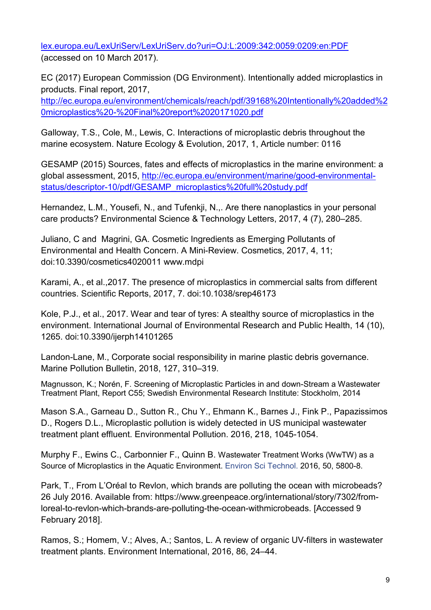[lex.europa.eu/LexUriServ/LexUriServ.do?uri=OJ:L:2009:342:0059:0209:en:PDF](http://eur-lex.europa.eu/LexUriServ/LexUriServ.do?uri=OJ:L:2009:342:0059:0209:en:PDF) (accessed on 10 March 2017).

EC (2017) European Commission (DG Environment). Intentionally added microplastics in products. Final report, 2017,

[http://ec.europa.eu/environment/chemicals/reach/pdf/39168%20Intentionally%20added%2](http://ec.europa.eu/environment/chemicals/reach/pdf/39168%20Intentionally%20added%20microplastics%20-%20Final%20report%2020171020.pdf) [0microplastics%20-%20Final%20report%2020171020.pdf](http://ec.europa.eu/environment/chemicals/reach/pdf/39168%20Intentionally%20added%20microplastics%20-%20Final%20report%2020171020.pdf)

Galloway, T.S., Cole, M., Lewis, C. Interactions of microplastic debris throughout the marine ecosystem. Nature Ecology & Evolution, 2017, 1, Article number: 0116

GESAMP (2015) Sources, fates and effects of microplastics in the marine environment: a global assessment, 2015, [http://ec.europa.eu/environment/marine/good-environmental](http://ec.europa.eu/environment/marine/good-environmental-status/descriptor-10/pdf/GESAMP_microplastics%20full%20study.pdf)[status/descriptor-10/pdf/GESAMP\\_microplastics%20full%20study.pdf](http://ec.europa.eu/environment/marine/good-environmental-status/descriptor-10/pdf/GESAMP_microplastics%20full%20study.pdf)

Hernandez, L.M., Yousefi, N., and Tufenkji, N.,. Are there nanoplastics in your personal care products? Environmental Science & Technology Letters, 2017, 4 (7), 280–285.

Juliano, C and Magrini, GA. Cosmetic Ingredients as Emerging Pollutants of Environmental and Health Concern. A Mini-Review. Cosmetics, 2017, 4, 11; doi:10.3390/cosmetics4020011 www.mdpi

Karami, A., et al.,2017. The presence of microplastics in commercial salts from different countries. Scientific Reports, 2017, 7. doi:10.1038/srep46173

Kole, P.J., et al., 2017. Wear and tear of tyres: A stealthy source of microplastics in the environment. International Journal of Environmental Research and Public Health, 14 (10), 1265. doi:10.3390/ijerph14101265

Landon-Lane, M., Corporate social responsibility in marine plastic debris governance. Marine Pollution Bulletin, 2018, 127, 310–319.

Magnusson, K.; Norén, F. Screening of Microplastic Particles in and down-Stream a Wastewater Treatment Plant, Report C55; Swedish Environmental Research Institute: Stockholm, 2014

Mason S.A., Garneau D., Sutton R., Chu Y., Ehmann K., Barnes J., Fink P., Papazissimos D., Rogers D.L., Microplastic pollution is widely detected in US municipal wastewater treatment plant effluent. Environmental Pollution. 2016, 218, 1045-1054.

Murphy F., Ewins C., Carbonnier F., Quinn B. Wastewater Treatment Works (WwTW) as a Source of Microplastics in the Aquatic Environment. [Environ Sci Technol.](https://www.ncbi.nlm.nih.gov/pubmed/27191224) 2016, 50, 5800-8.

Park, T., From L'Oréal to Revlon, which brands are polluting the ocean with microbeads? 26 July 2016. Available from: https://www.greenpeace.org/international/story/7302/fromloreal-to-revlon-which-brands-are-polluting-the-ocean-withmicrobeads. [Accessed 9 February 2018].

Ramos, S.; Homem, V.; Alves, A.; Santos, L. A review of organic UV-filters in wastewater treatment plants. Environment International, 2016, 86, 24–44.